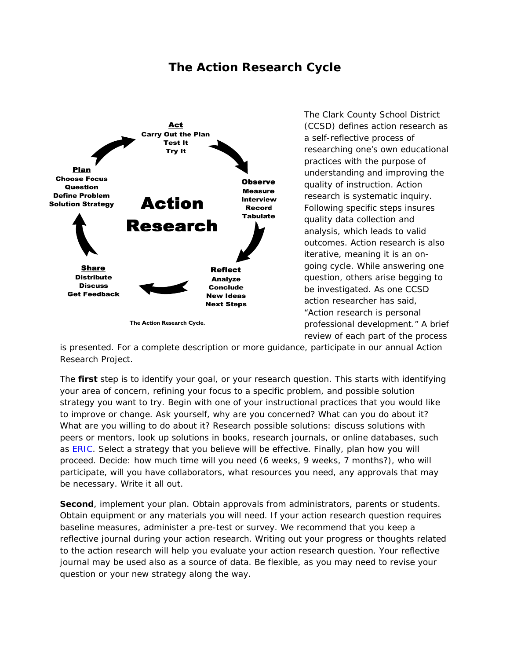## **The Action Research Cycle**



The Clark County School District (CCSD) defines action research as a self-reflective process of researching one's own educational practices with the purpose of understanding and improving the quality of instruction. Action research is systematic inquiry. Following specific steps insures quality data collection and analysis, which leads to valid outcomes. Action research is also iterative, meaning it is an ongoing cycle. While answering one question, others arise begging to be investigated. As one CCSD action researcher has said, "Action research is personal professional development." A brief review of each part of the process

is presented. For a complete description or more guidance, participate in our annual Action Research Project.

The **first** step is to identify your goal, or your research question. This starts with identifying your area of concern, refining your focus to a specific problem, and possible solution strategy you want to try. Begin with one of your instructional practices that you would like to improve or change. Ask yourself, why are you concerned? What can you do about it? What are you willing to do about it? Research possible solutions: discuss solutions with peers or mentors, look up solutions in books, research journals, or online databases, such as **ERIC**. Select a strategy that you believe will be effective. Finally, plan how you will proceed. Decide: how much time will you need (6 weeks, 9 weeks, 7 months?), who will participate, will you have collaborators, what resources you need, any approvals that may be necessary. Write it all out.

**Second**, implement your plan. Obtain approvals from administrators, parents or students. Obtain equipment or any materials you will need. If your action research question requires baseline measures, administer a pre-test or survey. We recommend that you keep a reflective journal during your action research. Writing out your progress or thoughts related to the action research will help you evaluate your action research question. Your reflective journal may be used also as a source of data. Be flexible, as you may need to revise your question or your new strategy along the way.